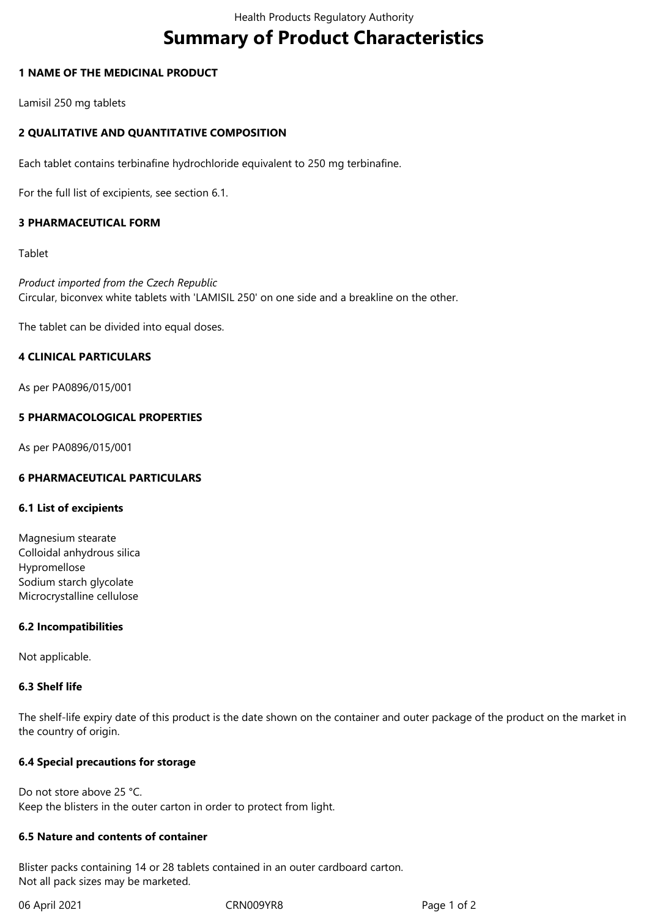# **Summary of Product Characteristics**

# **1 NAME OF THE MEDICINAL PRODUCT**

Lamisil 250 mg tablets

# **2 QUALITATIVE AND QUANTITATIVE COMPOSITION**

Each tablet contains terbinafine hydrochloride equivalent to 250 mg terbinafine.

For the full list of excipients, see section 6.1.

# **3 PHARMACEUTICAL FORM**

Tablet

*Product imported from the Czech Republic* Circular, biconvex white tablets with 'LAMISIL 250' on one side and a breakline on the other.

The tablet can be divided into equal doses.

# **4 CLINICAL PARTICULARS**

As per PA0896/015/001

# **5 PHARMACOLOGICAL PROPERTIES**

As per PA0896/015/001

#### **6 PHARMACEUTICAL PARTICULARS**

#### **6.1 List of excipients**

Magnesium stearate Colloidal anhydrous silica Hypromellose Sodium starch glycolate Microcrystalline cellulose

#### **6.2 Incompatibilities**

Not applicable.

# **6.3 Shelf life**

The shelf-life expiry date of this product is the date shown on the container and outer package of the product on the market in the country of origin.

#### **6.4 Special precautions for storage**

Do not store above 25 °C. Keep the blisters in the outer carton in order to protect from light.

# **6.5 Nature and contents of container**

Blister packs containing 14 or 28 tablets contained in an outer cardboard carton. Not all pack sizes may be marketed.

06 April 2021 CRN009YR8 Page 1 of 2